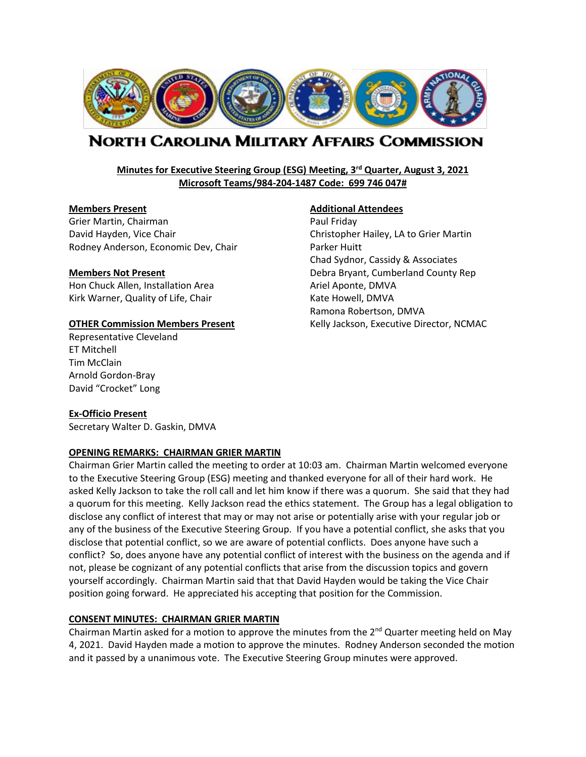

# NORTH CAROLINA MILITARY AFFAIRS COMMISSION

# **Minutes for Executive Steering Group (ESG) Meeting, 3rd Quarter, August 3, 2021 Microsoft Teams/984-204-1487 Code: 699 746 047#**

#### **Members Present Additional Attendees**

Grier Martin, Chairman **Paul Friday** Paul Friday David Hayden, Vice Chair Christopher Hailey, LA to Grier Martin Rodney Anderson, Economic Dev, Chair Parker Huitt

Hon Chuck Allen, Installation Area Ariel Aponte, DMVA Kirk Warner, Quality of Life, Chair Kate Howell, DMVA

Representative Cleveland ET Mitchell Tim McClain Arnold Gordon-Bray David "Crocket" Long

Chad Sydnor, Cassidy & Associates **Members Not Present** Debra Bryant, Cumberland County Rep Ramona Robertson, DMVA **OTHER Commission Members Present Kelly Jackson, Executive Director, NCMAC** 

#### **Ex-Officio Present**

Secretary Walter D. Gaskin, DMVA

#### **OPENING REMARKS: CHAIRMAN GRIER MARTIN**

Chairman Grier Martin called the meeting to order at 10:03 am. Chairman Martin welcomed everyone to the Executive Steering Group (ESG) meeting and thanked everyone for all of their hard work. He asked Kelly Jackson to take the roll call and let him know if there was a quorum. She said that they had a quorum for this meeting. Kelly Jackson read the ethics statement. The Group has a legal obligation to disclose any conflict of interest that may or may not arise or potentially arise with your regular job or any of the business of the Executive Steering Group. If you have a potential conflict, she asks that you disclose that potential conflict, so we are aware of potential conflicts. Does anyone have such a conflict? So, does anyone have any potential conflict of interest with the business on the agenda and if not, please be cognizant of any potential conflicts that arise from the discussion topics and govern yourself accordingly. Chairman Martin said that that David Hayden would be taking the Vice Chair position going forward. He appreciated his accepting that position for the Commission.

#### **CONSENT MINUTES: CHAIRMAN GRIER MARTIN**

Chairman Martin asked for a motion to approve the minutes from the  $2^{nd}$  Quarter meeting held on May 4, 2021. David Hayden made a motion to approve the minutes. Rodney Anderson seconded the motion and it passed by a unanimous vote. The Executive Steering Group minutes were approved.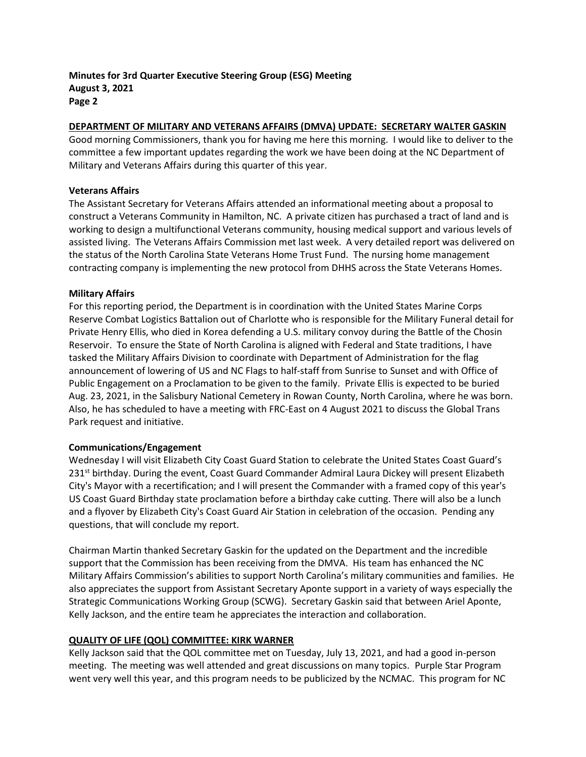## **DEPARTMENT OF MILITARY AND VETERANS AFFAIRS (DMVA) UPDATE: SECRETARY WALTER GASKIN**

Good morning Commissioners, thank you for having me here this morning. I would like to deliver to the committee a few important updates regarding the work we have been doing at the NC Department of Military and Veterans Affairs during this quarter of this year.

#### **Veterans Affairs**

The Assistant Secretary for Veterans Affairs attended an informational meeting about a proposal to construct a Veterans Community in Hamilton, NC. A private citizen has purchased a tract of land and is working to design a multifunctional Veterans community, housing medical support and various levels of assisted living. The Veterans Affairs Commission met last week. A very detailed report was delivered on the status of the North Carolina State Veterans Home Trust Fund. The nursing home management contracting company is implementing the new protocol from DHHS across the State Veterans Homes.

#### **Military Affairs**

For this reporting period, the Department is in coordination with the United States Marine Corps Reserve Combat Logistics Battalion out of Charlotte who is responsible for the Military Funeral detail for Private Henry Ellis, who died in Korea defending a U.S. military convoy during the Battle of the Chosin Reservoir. To ensure the State of North Carolina is aligned with Federal and State traditions, I have tasked the Military Affairs Division to coordinate with Department of Administration for the flag announcement of lowering of US and NC Flags to half-staff from Sunrise to Sunset and with Office of Public Engagement on a Proclamation to be given to the family. Private Ellis is expected to be buried Aug. 23, 2021, in the Salisbury National Cemetery in Rowan County, North Carolina, where he was born. Also, he has scheduled to have a meeting with FRC-East on 4 August 2021 to discuss the Global Trans Park request and initiative.

#### **Communications/Engagement**

Wednesday I will visit Elizabeth City Coast Guard Station to celebrate the United States Coast Guard's 231<sup>st</sup> birthday. During the event, Coast Guard Commander Admiral Laura Dickey will present Elizabeth City's Mayor with a recertification; and I will present the Commander with a framed copy of this year's US Coast Guard Birthday state proclamation before a birthday cake cutting. There will also be a lunch and a flyover by Elizabeth City's Coast Guard Air Station in celebration of the occasion. Pending any questions, that will conclude my report.

Chairman Martin thanked Secretary Gaskin for the updated on the Department and the incredible support that the Commission has been receiving from the DMVA. His team has enhanced the NC Military Affairs Commission's abilities to support North Carolina's military communities and families. He also appreciates the support from Assistant Secretary Aponte support in a variety of ways especially the Strategic Communications Working Group (SCWG). Secretary Gaskin said that between Ariel Aponte, Kelly Jackson, and the entire team he appreciates the interaction and collaboration.

# **QUALITY OF LIFE (QOL) COMMITTEE: KIRK WARNER**

Kelly Jackson said that the QOL committee met on Tuesday, July 13, 2021, and had a good in-person meeting. The meeting was well attended and great discussions on many topics. Purple Star Program went very well this year, and this program needs to be publicized by the NCMAC. This program for NC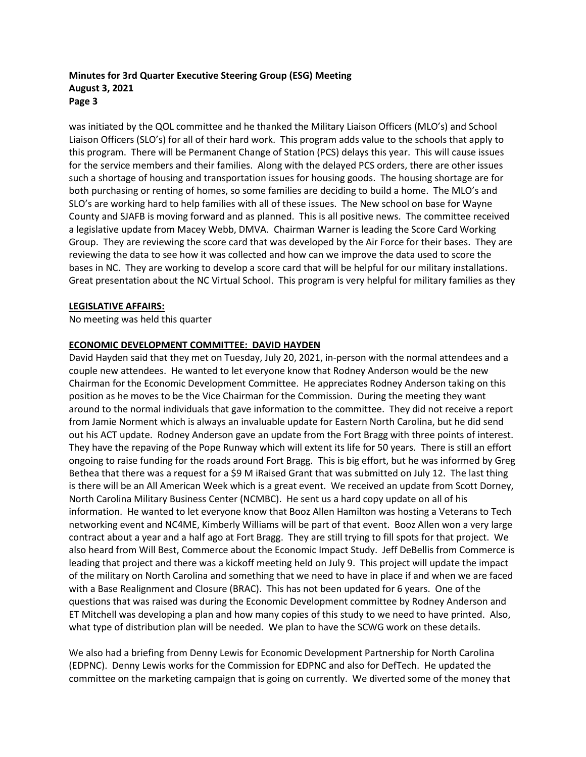was initiated by the QOL committee and he thanked the Military Liaison Officers (MLO's) and School Liaison Officers (SLO's) for all of their hard work. This program adds value to the schools that apply to this program. There will be Permanent Change of Station (PCS) delays this year. This will cause issues for the service members and their families. Along with the delayed PCS orders, there are other issues such a shortage of housing and transportation issues for housing goods. The housing shortage are for both purchasing or renting of homes, so some families are deciding to build a home. The MLO's and SLO's are working hard to help families with all of these issues. The New school on base for Wayne County and SJAFB is moving forward and as planned. This is all positive news. The committee received a legislative update from Macey Webb, DMVA. Chairman Warner is leading the Score Card Working Group. They are reviewing the score card that was developed by the Air Force for their bases. They are reviewing the data to see how it was collected and how can we improve the data used to score the bases in NC. They are working to develop a score card that will be helpful for our military installations. Great presentation about the NC Virtual School. This program is very helpful for military families as they

#### **LEGISLATIVE AFFAIRS:**

No meeting was held this quarter

#### **ECONOMIC DEVELOPMENT COMMITTEE: DAVID HAYDEN**

David Hayden said that they met on Tuesday, July 20, 2021, in-person with the normal attendees and a couple new attendees. He wanted to let everyone know that Rodney Anderson would be the new Chairman for the Economic Development Committee. He appreciates Rodney Anderson taking on this position as he moves to be the Vice Chairman for the Commission. During the meeting they want around to the normal individuals that gave information to the committee. They did not receive a report from Jamie Norment which is always an invaluable update for Eastern North Carolina, but he did send out his ACT update. Rodney Anderson gave an update from the Fort Bragg with three points of interest. They have the repaving of the Pope Runway which will extent its life for 50 years. There is still an effort ongoing to raise funding for the roads around Fort Bragg. This is big effort, but he was informed by Greg Bethea that there was a request for a \$9 M iRaised Grant that was submitted on July 12. The last thing is there will be an All American Week which is a great event. We received an update from Scott Dorney, North Carolina Military Business Center (NCMBC). He sent us a hard copy update on all of his information. He wanted to let everyone know that Booz Allen Hamilton was hosting a Veterans to Tech networking event and NC4ME, Kimberly Williams will be part of that event. Booz Allen won a very large contract about a year and a half ago at Fort Bragg. They are still trying to fill spots for that project. We also heard from Will Best, Commerce about the Economic Impact Study. Jeff DeBellis from Commerce is leading that project and there was a kickoff meeting held on July 9. This project will update the impact of the military on North Carolina and something that we need to have in place if and when we are faced with a Base Realignment and Closure (BRAC). This has not been updated for 6 years. One of the questions that was raised was during the Economic Development committee by Rodney Anderson and ET Mitchell was developing a plan and how many copies of this study to we need to have printed. Also, what type of distribution plan will be needed. We plan to have the SCWG work on these details.

We also had a briefing from Denny Lewis for Economic Development Partnership for North Carolina (EDPNC). Denny Lewis works for the Commission for EDPNC and also for DefTech. He updated the committee on the marketing campaign that is going on currently. We diverted some of the money that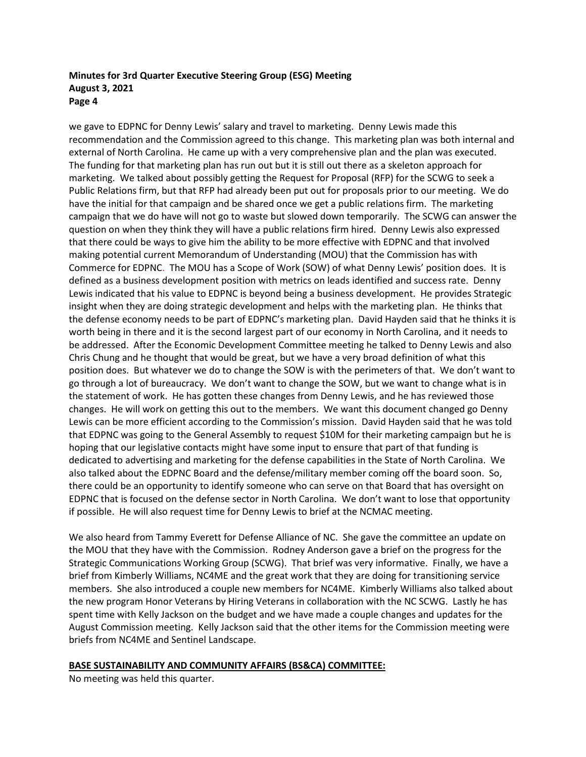we gave to EDPNC for Denny Lewis' salary and travel to marketing. Denny Lewis made this recommendation and the Commission agreed to this change. This marketing plan was both internal and external of North Carolina. He came up with a very comprehensive plan and the plan was executed. The funding for that marketing plan has run out but it is still out there as a skeleton approach for marketing. We talked about possibly getting the Request for Proposal (RFP) for the SCWG to seek a Public Relations firm, but that RFP had already been put out for proposals prior to our meeting. We do have the initial for that campaign and be shared once we get a public relations firm. The marketing campaign that we do have will not go to waste but slowed down temporarily. The SCWG can answer the question on when they think they will have a public relations firm hired. Denny Lewis also expressed that there could be ways to give him the ability to be more effective with EDPNC and that involved making potential current Memorandum of Understanding (MOU) that the Commission has with Commerce for EDPNC. The MOU has a Scope of Work (SOW) of what Denny Lewis' position does. It is defined as a business development position with metrics on leads identified and success rate. Denny Lewis indicated that his value to EDPNC is beyond being a business development. He provides Strategic insight when they are doing strategic development and helps with the marketing plan. He thinks that the defense economy needs to be part of EDPNC's marketing plan. David Hayden said that he thinks it is worth being in there and it is the second largest part of our economy in North Carolina, and it needs to be addressed. After the Economic Development Committee meeting he talked to Denny Lewis and also Chris Chung and he thought that would be great, but we have a very broad definition of what this position does. But whatever we do to change the SOW is with the perimeters of that. We don't want to go through a lot of bureaucracy. We don't want to change the SOW, but we want to change what is in the statement of work. He has gotten these changes from Denny Lewis, and he has reviewed those changes. He will work on getting this out to the members. We want this document changed go Denny Lewis can be more efficient according to the Commission's mission. David Hayden said that he was told that EDPNC was going to the General Assembly to request \$10M for their marketing campaign but he is hoping that our legislative contacts might have some input to ensure that part of that funding is dedicated to advertising and marketing for the defense capabilities in the State of North Carolina. We also talked about the EDPNC Board and the defense/military member coming off the board soon. So, there could be an opportunity to identify someone who can serve on that Board that has oversight on EDPNC that is focused on the defense sector in North Carolina. We don't want to lose that opportunity if possible. He will also request time for Denny Lewis to brief at the NCMAC meeting.

We also heard from Tammy Everett for Defense Alliance of NC. She gave the committee an update on the MOU that they have with the Commission. Rodney Anderson gave a brief on the progress for the Strategic Communications Working Group (SCWG). That brief was very informative. Finally, we have a brief from Kimberly Williams, NC4ME and the great work that they are doing for transitioning service members. She also introduced a couple new members for NC4ME. Kimberly Williams also talked about the new program Honor Veterans by Hiring Veterans in collaboration with the NC SCWG. Lastly he has spent time with Kelly Jackson on the budget and we have made a couple changes and updates for the August Commission meeting. Kelly Jackson said that the other items for the Commission meeting were briefs from NC4ME and Sentinel Landscape.

#### **BASE SUSTAINABILITY AND COMMUNITY AFFAIRS (BS&CA) COMMITTEE:**

No meeting was held this quarter.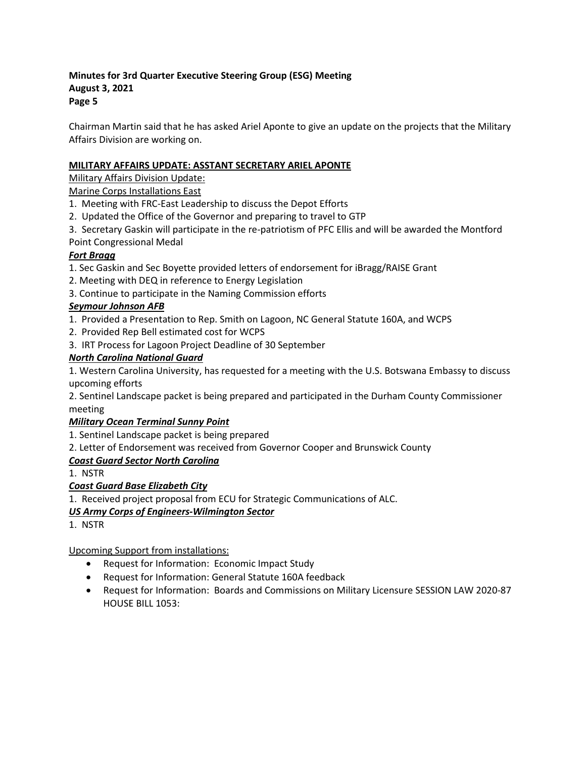Chairman Martin said that he has asked Ariel Aponte to give an update on the projects that the Military Affairs Division are working on.

# **MILITARY AFFAIRS UPDATE: ASSTANT SECRETARY ARIEL APONTE**

Military Affairs Division Update:

Marine Corps Installations East

- 1. Meeting with FRC-East Leadership to discuss the Depot Efforts
- 2. Updated the Office of the Governor and preparing to travel to GTP
- 3. Secretary Gaskin will participate in the re-patriotism of PFC Ellis and will be awarded the Montford Point Congressional Medal

# *Fort Bragg*

- 1. Sec Gaskin and Sec Boyette provided letters of endorsement for iBragg/RAISE Grant
- 2. Meeting with DEQ in reference to Energy Legislation
- 3. Continue to participate in the Naming Commission efforts

# *Seymour Johnson AFB*

- 1. Provided a Presentation to Rep. Smith on Lagoon, NC General Statute 160A, and WCPS
- 2. Provided Rep Bell estimated cost for WCPS
- 3. IRT Process for Lagoon Project Deadline of 30 September

# *North Carolina National Guard*

1. Western Carolina University, has requested for a meeting with the U.S. Botswana Embassy to discuss upcoming efforts

2. Sentinel Landscape packet is being prepared and participated in the Durham County Commissioner meeting

# *Military Ocean Terminal Sunny Point*

1. Sentinel Landscape packet is being prepared

2. Letter of Endorsement was received from Governor Cooper and Brunswick County

# *Coast Guard Sector North Carolina*

1. NSTR

# *Coast Guard Base Elizabeth City*

1. Received project proposal from ECU for Strategic Communications of ALC.

# *US Army Corps of Engineers-Wilmington Sector*

1. NSTR

Upcoming Support from installations:

- Request for Information: Economic Impact Study
- Request for Information: General Statute 160A feedback
- Request for Information: Boards and Commissions on Military Licensure SESSION LAW 2020-87 HOUSE BILL 1053: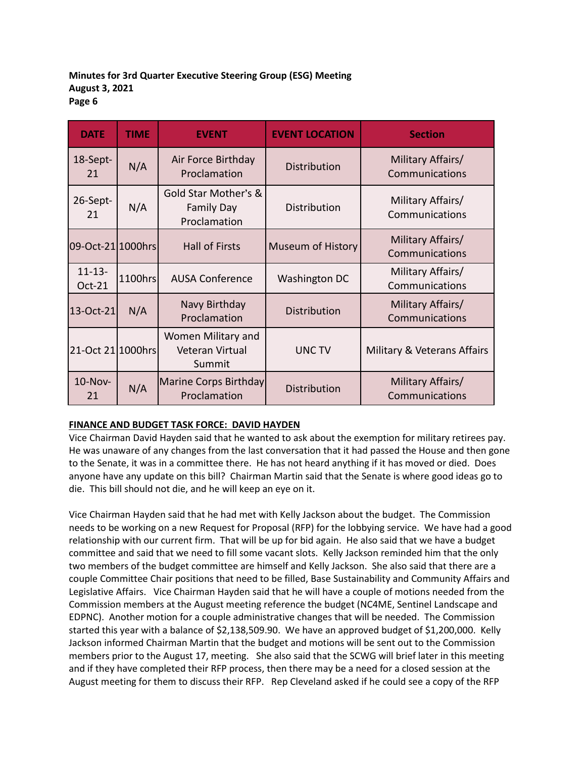| <b>DATE</b>                  | <b>TIME</b> | <b>EVENT</b>                                              | <b>EVENT LOCATION</b>    | <b>Section</b>                      |  |
|------------------------------|-------------|-----------------------------------------------------------|--------------------------|-------------------------------------|--|
| 18-Sept-<br>21               | N/A         | Air Force Birthday<br>Proclamation                        | <b>Distribution</b>      | Military Affairs/<br>Communications |  |
| 26-Sept-<br>21               | N/A         | Gold Star Mother's &<br><b>Family Day</b><br>Proclamation | Distribution             | Military Affairs/<br>Communications |  |
| 09-Oct-21 1000hrs            |             | <b>Hall of Firsts</b>                                     | <b>Museum of History</b> | Military Affairs/<br>Communications |  |
| $11 - 13 -$<br><b>Oct-21</b> | 1100hrs     | <b>AUSA Conference</b>                                    | Washington DC            | Military Affairs/<br>Communications |  |
| 13-Oct-21                    | N/A         | Navy Birthday<br>Proclamation                             | Distribution             | Military Affairs/<br>Communications |  |
| 21-Oct 21 1000hrs            |             | Women Military and<br>Veteran Virtual<br>Summit           | <b>UNCTV</b>             | Military & Veterans Affairs         |  |
| 10-Nov-<br>21                | N/A         | Marine Corps Birthday<br>Proclamation                     | Distribution             | Military Affairs/<br>Communications |  |

# **FINANCE AND BUDGET TASK FORCE: DAVID HAYDEN**

Vice Chairman David Hayden said that he wanted to ask about the exemption for military retirees pay. He was unaware of any changes from the last conversation that it had passed the House and then gone to the Senate, it was in a committee there. He has not heard anything if it has moved or died. Does anyone have any update on this bill? Chairman Martin said that the Senate is where good ideas go to die. This bill should not die, and he will keep an eye on it.

Vice Chairman Hayden said that he had met with Kelly Jackson about the budget. The Commission needs to be working on a new Request for Proposal (RFP) for the lobbying service. We have had a good relationship with our current firm. That will be up for bid again. He also said that we have a budget committee and said that we need to fill some vacant slots. Kelly Jackson reminded him that the only two members of the budget committee are himself and Kelly Jackson. She also said that there are a couple Committee Chair positions that need to be filled, Base Sustainability and Community Affairs and Legislative Affairs. Vice Chairman Hayden said that he will have a couple of motions needed from the Commission members at the August meeting reference the budget (NC4ME, Sentinel Landscape and EDPNC). Another motion for a couple administrative changes that will be needed. The Commission started this year with a balance of \$2,138,509.90. We have an approved budget of \$1,200,000. Kelly Jackson informed Chairman Martin that the budget and motions will be sent out to the Commission members prior to the August 17, meeting. She also said that the SCWG will brief later in this meeting and if they have completed their RFP process, then there may be a need for a closed session at the August meeting for them to discuss their RFP. Rep Cleveland asked if he could see a copy of the RFP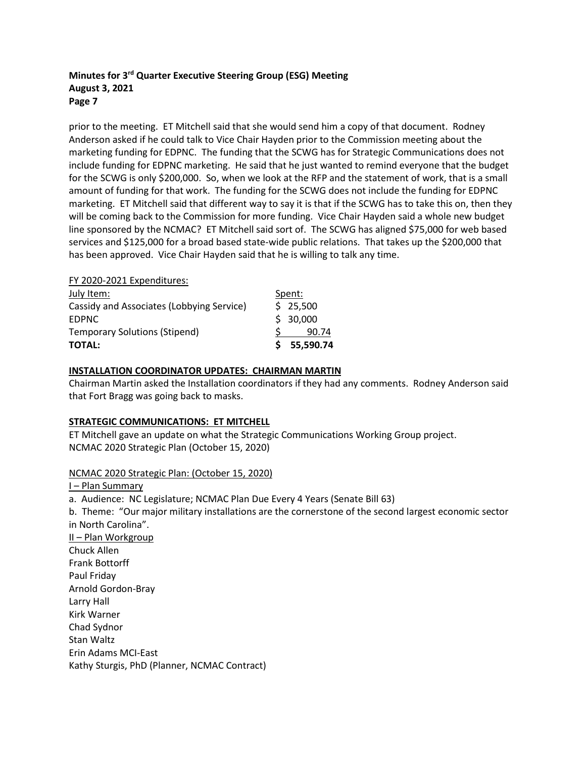prior to the meeting. ET Mitchell said that she would send him a copy of that document. Rodney Anderson asked if he could talk to Vice Chair Hayden prior to the Commission meeting about the marketing funding for EDPNC. The funding that the SCWG has for Strategic Communications does not include funding for EDPNC marketing. He said that he just wanted to remind everyone that the budget for the SCWG is only \$200,000. So, when we look at the RFP and the statement of work, that is a small amount of funding for that work. The funding for the SCWG does not include the funding for EDPNC marketing. ET Mitchell said that different way to say it is that if the SCWG has to take this on, then they will be coming back to the Commission for more funding. Vice Chair Hayden said a whole new budget line sponsored by the NCMAC? ET Mitchell said sort of. The SCWG has aligned \$75,000 for web based services and \$125,000 for a broad based state-wide public relations. That takes up the \$200,000 that has been approved. Vice Chair Hayden said that he is willing to talk any time.

#### FY 2020-2021 Expenditures:

| <b>TOTAL:</b>                             | \$55,590.74 |
|-------------------------------------------|-------------|
| <b>Temporary Solutions (Stipend)</b>      | 90.74       |
| <b>EDPNC</b>                              | \$30,000    |
| Cassidy and Associates (Lobbying Service) | \$25,500    |
| July Item:                                | Spent:      |

#### **INSTALLATION COORDINATOR UPDATES: CHAIRMAN MARTIN**

Chairman Martin asked the Installation coordinators if they had any comments. Rodney Anderson said that Fort Bragg was going back to masks.

#### **STRATEGIC COMMUNICATIONS: ET MITCHELL**

ET Mitchell gave an update on what the Strategic Communications Working Group project. NCMAC 2020 Strategic Plan (October 15, 2020)

#### NCMAC 2020 Strategic Plan: (October 15, 2020)

I – Plan Summary

a. Audience: NC Legislature; NCMAC Plan Due Every 4 Years (Senate Bill 63)

b. Theme: "Our major military installations are the cornerstone of the second largest economic sector in North Carolina".

II – Plan Workgroup Chuck Allen Frank Bottorff Paul Friday Arnold Gordon-Bray Larry Hall Kirk Warner Chad Sydnor Stan Waltz Erin Adams MCI-East Kathy Sturgis, PhD (Planner, NCMAC Contract)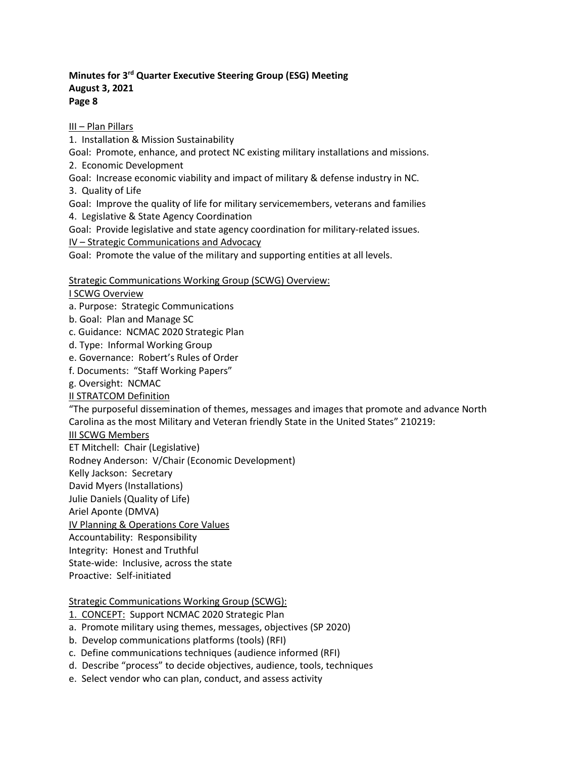III – Plan Pillars

1. Installation & Mission Sustainability

Goal: Promote, enhance, and protect NC existing military installations and missions.

2. Economic Development

Goal: Increase economic viability and impact of military & defense industry in NC.

3. Quality of Life

Goal: Improve the quality of life for military servicemembers, veterans and families

4. Legislative & State Agency Coordination

Goal: Provide legislative and state agency coordination for military-related issues.

IV – Strategic Communications and Advocacy

Goal: Promote the value of the military and supporting entities at all levels.

# Strategic Communications Working Group (SCWG) Overview:

I SCWG Overview

a. Purpose: Strategic Communications

- b. Goal: Plan and Manage SC
- c. Guidance: NCMAC 2020 Strategic Plan
- d. Type: Informal Working Group

e. Governance: Robert's Rules of Order

f. Documents: "Staff Working Papers"

g. Oversight: NCMAC

II STRATCOM Definition

"The purposeful dissemination of themes, messages and images that promote and advance North Carolina as the most Military and Veteran friendly State in the United States" 210219:

# III SCWG Members

ET Mitchell: Chair (Legislative)

Rodney Anderson: V/Chair (Economic Development)

Kelly Jackson: Secretary

David Myers (Installations)

Julie Daniels (Quality of Life)

Ariel Aponte (DMVA)

IV Planning & Operations Core Values

Accountability: Responsibility

Integrity: Honest and Truthful

State-wide: Inclusive, across the state

Proactive: Self-initiated

# Strategic Communications Working Group (SCWG):

- 1. CONCEPT: Support NCMAC 2020 Strategic Plan
- a. Promote military using themes, messages, objectives (SP 2020)
- b. Develop communications platforms (tools) (RFI)
- c. Define communications techniques (audience informed (RFI)
- d. Describe "process" to decide objectives, audience, tools, techniques
- e. Select vendor who can plan, conduct, and assess activity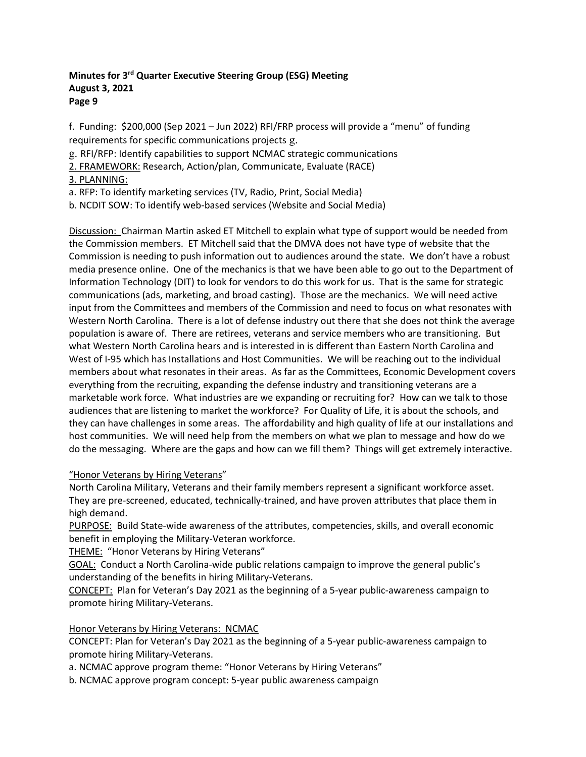f. Funding: \$200,000 (Sep 2021 – Jun 2022) RFI/FRP process will provide a "menu" of funding requirements for specific communications projects g.

g. RFI/RFP: Identify capabilities to support NCMAC strategic communications

2. FRAMEWORK: Research, Action/plan, Communicate, Evaluate (RACE)

3. PLANNING:

a. RFP: To identify marketing services (TV, Radio, Print, Social Media)

b. NCDIT SOW: To identify web-based services (Website and Social Media)

Discussion: Chairman Martin asked ET Mitchell to explain what type of support would be needed from the Commission members. ET Mitchell said that the DMVA does not have type of website that the Commission is needing to push information out to audiences around the state. We don't have a robust media presence online. One of the mechanics is that we have been able to go out to the Department of Information Technology (DIT) to look for vendors to do this work for us. That is the same for strategic communications (ads, marketing, and broad casting). Those are the mechanics. We will need active input from the Committees and members of the Commission and need to focus on what resonates with Western North Carolina. There is a lot of defense industry out there that she does not think the average population is aware of. There are retirees, veterans and service members who are transitioning. But what Western North Carolina hears and is interested in is different than Eastern North Carolina and West of I-95 which has Installations and Host Communities. We will be reaching out to the individual members about what resonates in their areas. As far as the Committees, Economic Development covers everything from the recruiting, expanding the defense industry and transitioning veterans are a marketable work force. What industries are we expanding or recruiting for? How can we talk to those audiences that are listening to market the workforce? For Quality of Life, it is about the schools, and they can have challenges in some areas. The affordability and high quality of life at our installations and host communities. We will need help from the members on what we plan to message and how do we do the messaging. Where are the gaps and how can we fill them? Things will get extremely interactive.

# "Honor Veterans by Hiring Veterans"

North Carolina Military, Veterans and their family members represent a significant workforce asset. They are pre-screened, educated, technically-trained, and have proven attributes that place them in high demand.

PURPOSE: Build State-wide awareness of the attributes, competencies, skills, and overall economic benefit in employing the Military-Veteran workforce.

THEME: "Honor Veterans by Hiring Veterans"

GOAL: Conduct a North Carolina-wide public relations campaign to improve the general public's understanding of the benefits in hiring Military-Veterans.

CONCEPT: Plan for Veteran's Day 2021 as the beginning of a 5-year public-awareness campaign to promote hiring Military-Veterans.

# Honor Veterans by Hiring Veterans: NCMAC

CONCEPT: Plan for Veteran's Day 2021 as the beginning of a 5-year public-awareness campaign to promote hiring Military-Veterans.

a. NCMAC approve program theme: "Honor Veterans by Hiring Veterans"

b. NCMAC approve program concept: 5-year public awareness campaign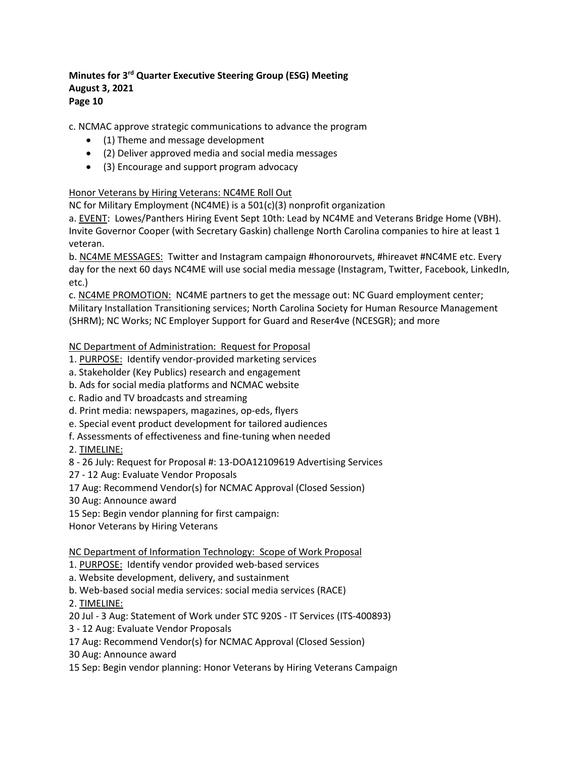c. NCMAC approve strategic communications to advance the program

- (1) Theme and message development
- (2) Deliver approved media and social media messages
- (3) Encourage and support program advocacy

# Honor Veterans by Hiring Veterans: NC4ME Roll Out

NC for Military Employment (NC4ME) is a 501(c)(3) nonprofit organization

a. EVENT: Lowes/Panthers Hiring Event Sept 10th: Lead by NC4ME and Veterans Bridge Home (VBH). Invite Governor Cooper (with Secretary Gaskin) challenge North Carolina companies to hire at least 1 veteran.

b. NC4ME MESSAGES: Twitter and Instagram campaign #honorourvets, #hireavet #NC4ME etc. Every day for the next 60 days NC4ME will use social media message (Instagram, Twitter, Facebook, LinkedIn, etc.)

c. NC4ME PROMOTION: NC4ME partners to get the message out: NC Guard employment center; Military Installation Transitioning services; North Carolina Society for Human Resource Management (SHRM); NC Works; NC Employer Support for Guard and Reser4ve (NCESGR); and more

# NC Department of Administration: Request for Proposal

- 1. PURPOSE: Identify vendor-provided marketing services
- a. Stakeholder (Key Publics) research and engagement
- b. Ads for social media platforms and NCMAC website
- c. Radio and TV broadcasts and streaming
- d. Print media: newspapers, magazines, op-eds, flyers
- e. Special event product development for tailored audiences
- f. Assessments of effectiveness and fine-tuning when needed
- 2. TIMELINE:

8 - 26 July: Request for Proposal #: 13-DOA12109619 Advertising Services

- 27 12 Aug: Evaluate Vendor Proposals
- 17 Aug: Recommend Vendor(s) for NCMAC Approval (Closed Session)
- 30 Aug: Announce award
- 15 Sep: Begin vendor planning for first campaign:
- Honor Veterans by Hiring Veterans

NC Department of Information Technology: Scope of Work Proposal

- 1. PURPOSE: Identify vendor provided web-based services
- a. Website development, delivery, and sustainment
- b. Web-based social media services: social media services (RACE)
- 2. TIMELINE:

20 Jul - 3 Aug: Statement of Work under STC 920S - IT Services (ITS-400893)

- 3 12 Aug: Evaluate Vendor Proposals
- 17 Aug: Recommend Vendor(s) for NCMAC Approval (Closed Session)
- 30 Aug: Announce award
- 15 Sep: Begin vendor planning: Honor Veterans by Hiring Veterans Campaign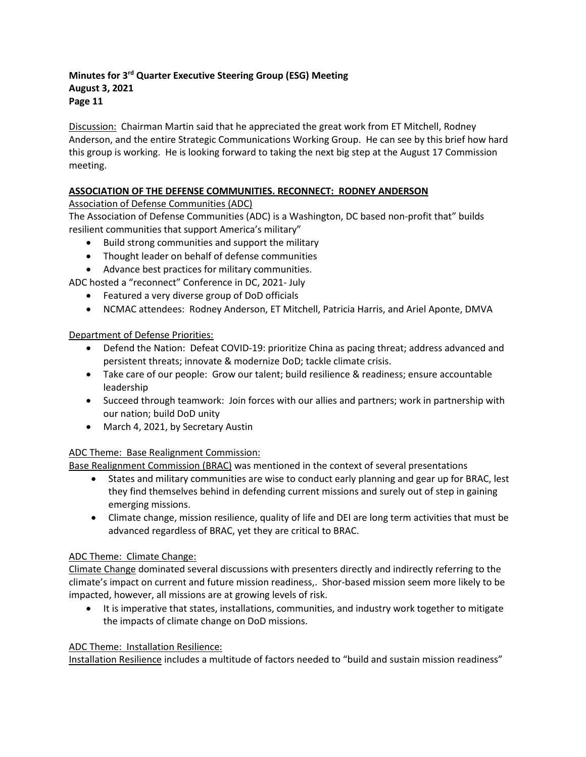Discussion: Chairman Martin said that he appreciated the great work from ET Mitchell, Rodney Anderson, and the entire Strategic Communications Working Group. He can see by this brief how hard this group is working. He is looking forward to taking the next big step at the August 17 Commission meeting.

# **ASSOCIATION OF THE DEFENSE COMMUNITIES. RECONNECT: RODNEY ANDERSON**

Association of Defense Communities (ADC)

The Association of Defense Communities (ADC) is a Washington, DC based non-profit that" builds resilient communities that support America's military"

- Build strong communities and support the military
- Thought leader on behalf of defense communities
- Advance best practices for military communities.

ADC hosted a "reconnect" Conference in DC, 2021- July

- Featured a very diverse group of DoD officials
- NCMAC attendees: Rodney Anderson, ET Mitchell, Patricia Harris, and Ariel Aponte, DMVA

# Department of Defense Priorities:

- Defend the Nation: Defeat COVID-19: prioritize China as pacing threat; address advanced and persistent threats; innovate & modernize DoD; tackle climate crisis.
- Take care of our people: Grow our talent; build resilience & readiness; ensure accountable leadership
- Succeed through teamwork: Join forces with our allies and partners; work in partnership with our nation; build DoD unity
- March 4, 2021, by Secretary Austin

# ADC Theme: Base Realignment Commission:

Base Realignment Commission (BRAC) was mentioned in the context of several presentations

- States and military communities are wise to conduct early planning and gear up for BRAC, lest they find themselves behind in defending current missions and surely out of step in gaining emerging missions.
- Climate change, mission resilience, quality of life and DEI are long term activities that must be advanced regardless of BRAC, yet they are critical to BRAC.

# ADC Theme: Climate Change:

Climate Change dominated several discussions with presenters directly and indirectly referring to the climate's impact on current and future mission readiness,. Shor-based mission seem more likely to be impacted, however, all missions are at growing levels of risk.

• It is imperative that states, installations, communities, and industry work together to mitigate the impacts of climate change on DoD missions.

# ADC Theme: Installation Resilience:

Installation Resilience includes a multitude of factors needed to "build and sustain mission readiness"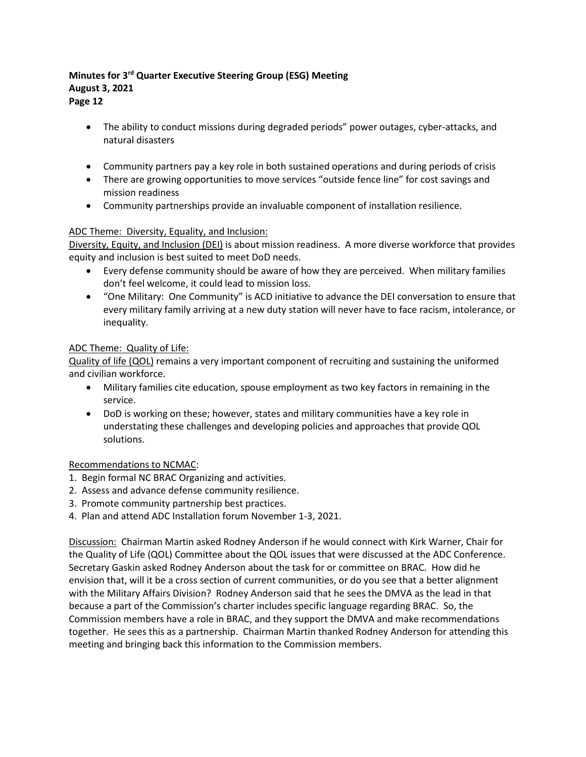# • The ability to conduct missions during degraded periods" power outages, cyber-attacks, and natural disasters

- Community partners pay a key role in both sustained operations and during periods of crisis
- There are growing opportunities to move services "outside fence line" for cost savings and mission readiness
- Community partnerships provide an invaluable component of installation resilience.

# ADC Theme: Diversity, Equality, and Inclusion:

Diversity, Equity, and Inclusion (DEI) is about mission readiness. A more diverse workforce that provides equity and inclusion is best suited to meet DoD needs.

- Every defense community should be aware of how they are perceived. When military families don't feel welcome, it could lead to mission loss.
- "One Military: One Community" is ACD initiative to advance the DEI conversation to ensure that every military family arriving at a new duty station will never have to face racism, intolerance, or inequality.

# ADC Theme: Quality of Life:

Quality of life (QOL) remains a very important component of recruiting and sustaining the uniformed and civilian workforce.

- Military families cite education, spouse employment as two key factors in remaining in the service.
- DoD is working on these; however, states and military communities have a key role in understating these challenges and developing policies and approaches that provide QOL solutions.

#### Recommendations to NCMAC:

- 1. Begin formal NC BRAC Organizing and activities.
- 2. Assess and advance defense community resilience.
- 3. Promote community partnership best practices.
- 4. Plan and attend ADC Installation forum November 1-3, 2021.

Discussion: Chairman Martin asked Rodney Anderson if he would connect with Kirk Warner, Chair for the Quality of Life (QOL) Committee about the QOL issues that were discussed at the ADC Conference. Secretary Gaskin asked Rodney Anderson about the task for or committee on BRAC. How did he envision that, will it be a cross section of current communities, or do you see that a better alignment with the Military Affairs Division? Rodney Anderson said that he sees the DMVA as the lead in that because a part of the Commission's charter includes specific language regarding BRAC. So, the Commission members have a role in BRAC, and they support the DMVA and make recommendations together. He sees this as a partnership. Chairman Martin thanked Rodney Anderson for attending this meeting and bringing back this information to the Commission members.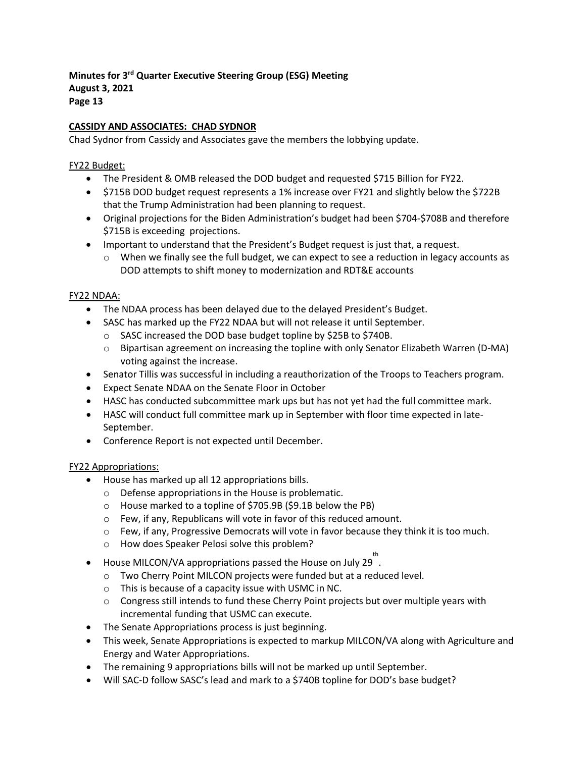# **CASSIDY AND ASSOCIATES: CHAD SYDNOR**

Chad Sydnor from Cassidy and Associates gave the members the lobbying update.

## FY22 Budget:

- The President & OMB released the DOD budget and requested \$715 Billion for FY22.
- \$715B DOD budget request represents a 1% increase over FY21 and slightly below the \$722B that the Trump Administration had been planning to request.
- Original projections for the Biden Administration's budget had been \$704-\$708B and therefore \$715B is exceeding projections.
- Important to understand that the President's Budget request is just that, a request.
	- $\circ$  When we finally see the full budget, we can expect to see a reduction in legacy accounts as DOD attempts to shift money to modernization and RDT&E accounts

#### FY22 NDAA:

- The NDAA process has been delayed due to the delayed President's Budget.
- SASC has marked up the FY22 NDAA but will not release it until September.
	- o SASC increased the DOD base budget topline by \$25B to \$740B.
	- o Bipartisan agreement on increasing the topline with only Senator Elizabeth Warren (D-MA) voting against the increase.
- Senator Tillis was successful in including a reauthorization of the Troops to Teachers program.
- Expect Senate NDAA on the Senate Floor in October
- HASC has conducted subcommittee mark ups but has not yet had the full committee mark.
- HASC will conduct full committee mark up in September with floor time expected in late-September.
- Conference Report is not expected until December.

#### FY22 Appropriations:

- House has marked up all 12 appropriations bills.
	- o Defense appropriations in the House is problematic.
	- o House marked to a topline of \$705.9B (\$9.1B below the PB)
	- o Few, if any, Republicans will vote in favor of this reduced amount.
	- o Few, if any, Progressive Democrats will vote in favor because they think it is too much.
	- o How does Speaker Pelosi solve this problem?
- House MILCON/VA appropriations passed the House on July 29 . th
	- o Two Cherry Point MILCON projects were funded but at a reduced level.
	- o This is because of a capacity issue with USMC in NC.
	- $\circ$  Congress still intends to fund these Cherry Point projects but over multiple years with incremental funding that USMC can execute.
- The Senate Appropriations process is just beginning.
- This week, Senate Appropriations is expected to markup MILCON/VA along with Agriculture and Energy and Water Appropriations.
- The remaining 9 appropriations bills will not be marked up until September.
- Will SAC-D follow SASC's lead and mark to a \$740B topline for DOD's base budget?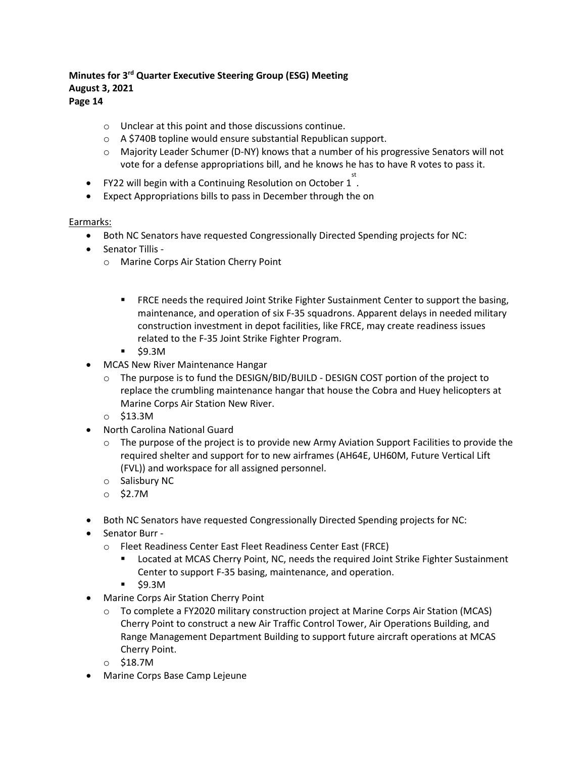# **Page 14**

- o Unclear at this point and those discussions continue.
- o A \$740B topline would ensure substantial Republican support.
- $\circ$  Majority Leader Schumer (D-NY) knows that a number of his progressive Senators will not vote for a defense appropriations bill, and he knows he has to have R votes to pass it.
- FY22 will begin with a Continuing Resolution on October 1<sup>st</sup>
- Expect Appropriations bills to pass in December through the on

#### Earmarks:

- Both NC Senators have requested Congressionally Directed Spending projects for NC:
- Senator Tillis
	- o Marine Corps Air Station Cherry Point
		- **FRCE needs the required Joint Strike Fighter Sustainment Center to support the basing,** maintenance, and operation of six F-35 squadrons. Apparent delays in needed military construction investment in depot facilities, like FRCE, may create readiness issues related to the F-35 Joint Strike Fighter Program.
		- \$9.3M
- MCAS New River Maintenance Hangar
	- $\circ$  The purpose is to fund the DESIGN/BID/BUILD DESIGN COST portion of the project to replace the crumbling maintenance hangar that house the Cobra and Huey helicopters at Marine Corps Air Station New River.
	- o \$13.3M
- North Carolina National Guard
	- $\circ$  The purpose of the project is to provide new Army Aviation Support Facilities to provide the required shelter and support for to new airframes (AH64E, UH60M, Future Vertical Lift (FVL)) and workspace for all assigned personnel.
	- o Salisbury NC
	- o \$2.7M
- Both NC Senators have requested Congressionally Directed Spending projects for NC:
- Senator Burr
	- o Fleet Readiness Center East Fleet Readiness Center East (FRCE)
		- **EXECT** Located at MCAS Cherry Point, NC, needs the required Joint Strike Fighter Sustainment Center to support F-35 basing, maintenance, and operation.
		- $\overline{\phantom{0}}$ \$9.3M
- Marine Corps Air Station Cherry Point
	- $\circ$  To complete a FY2020 military construction project at Marine Corps Air Station (MCAS) Cherry Point to construct a new Air Traffic Control Tower, Air Operations Building, and Range Management Department Building to support future aircraft operations at MCAS Cherry Point.
	- o \$18.7M
- Marine Corps Base Camp Lejeune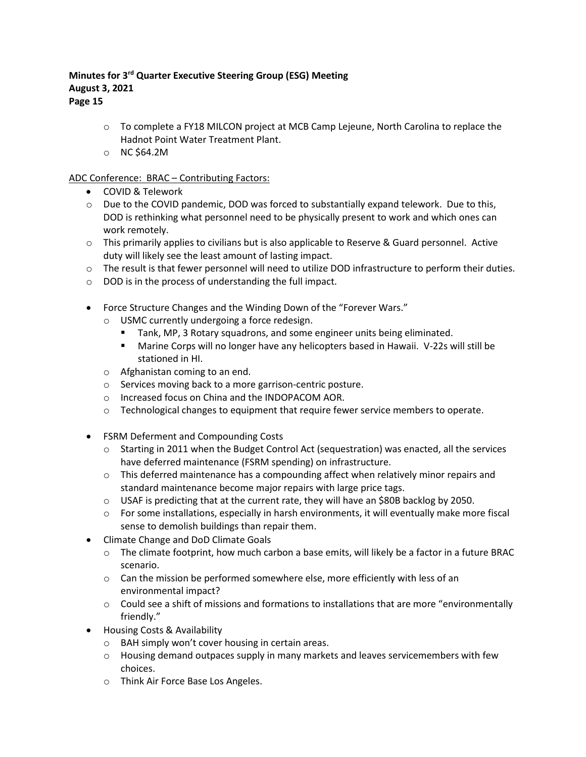**Page 15**

- o To complete a FY18 MILCON project at MCB Camp Lejeune, North Carolina to replace the Hadnot Point Water Treatment Plant.
- o NC \$64.2M

# ADC Conference: BRAC – Contributing Factors:

- COVID & Telework
- o Due to the COVID pandemic, DOD was forced to substantially expand telework. Due to this, DOD is rethinking what personnel need to be physically present to work and which ones can work remotely.
- $\circ$  This primarily applies to civilians but is also applicable to Reserve & Guard personnel. Active duty will likely see the least amount of lasting impact.
- o The result is that fewer personnel will need to utilize DOD infrastructure to perform their duties.
- o DOD is in the process of understanding the full impact.
- Force Structure Changes and the Winding Down of the "Forever Wars."
	- o USMC currently undergoing a force redesign.
		- Tank, MP, 3 Rotary squadrons, and some engineer units being eliminated.
		- Marine Corps will no longer have any helicopters based in Hawaii. V-22s will still be stationed in HI.
	- o Afghanistan coming to an end.
	- o Services moving back to a more garrison-centric posture.
	- o Increased focus on China and the INDOPACOM AOR.
	- o Technological changes to equipment that require fewer service members to operate.
- FSRM Deferment and Compounding Costs
	- $\circ$  Starting in 2011 when the Budget Control Act (sequestration) was enacted, all the services have deferred maintenance (FSRM spending) on infrastructure.
	- $\circ$  This deferred maintenance has a compounding affect when relatively minor repairs and standard maintenance become major repairs with large price tags.
	- $\circ$  USAF is predicting that at the current rate, they will have an \$80B backlog by 2050.
	- $\circ$  For some installations, especially in harsh environments, it will eventually make more fiscal sense to demolish buildings than repair them.
- Climate Change and DoD Climate Goals
	- $\circ$  The climate footprint, how much carbon a base emits, will likely be a factor in a future BRAC scenario.
	- o Can the mission be performed somewhere else, more efficiently with less of an environmental impact?
	- o Could see a shift of missions and formations to installations that are more "environmentally friendly."
- Housing Costs & Availability
	- o BAH simply won't cover housing in certain areas.
	- $\circ$  Housing demand outpaces supply in many markets and leaves servicemembers with few choices.
	- o Think Air Force Base Los Angeles.